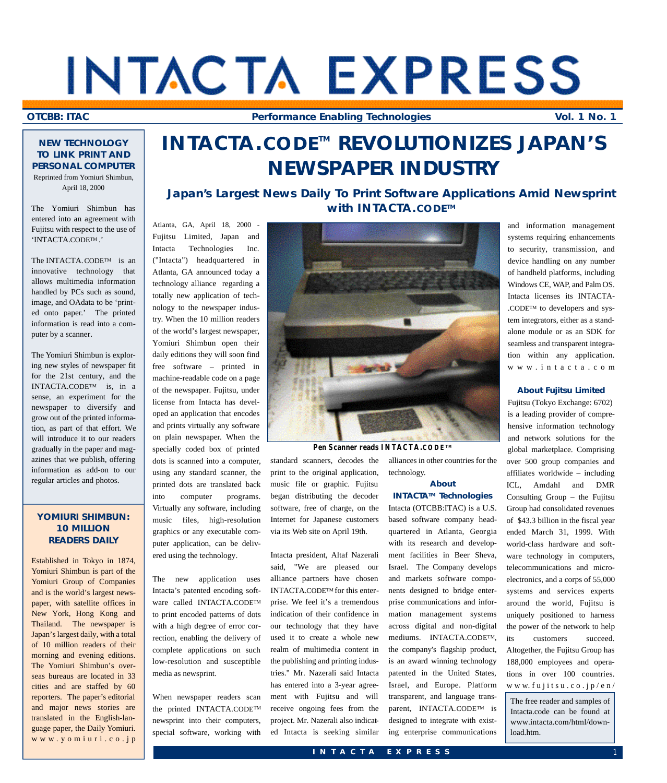# INTACTA EXPRESS

**OTCBB: ITAC Performance Enabling Technologies Vol. 1 No. 1**

#### **NEW TECHNOLOGY TO LINK PRINT AND PERSONAL COMPUTER** Reprinted from Yomiuri Shimbun,

April 18, 2000 The Yomiuri Shimbun has

entered into an agreement with Fujitsu with respect to the use of 'INTACTA.CODETM .'

The INTACTA.CODE<sup>TM</sup> is an innovative technology that allows multimedia information handled by PCs such as sound, image, and OAdata to be 'printed onto paper.' The printed information is read into a computer by a scanner.

The Yomiuri Shimbun is exploring new styles of newspaper fit for the 21st century, and the INTACTA.CODETM is, in a sense, an experiment for the newspaper to diversify and grow out of the printed information, as part of that effort. We will introduce it to our readers gradually in the paper and magazines that we publish, offering information as add-on to our regular articles and photos.

#### **YOMIURI SHIMBUN: 10 MILLION READERS DAILY**

Established in Tokyo in 1874, Yomiuri Shimbun is part of the Yomiuri Group of Companies and is the world's largest newspaper, with satellite offices in New York, Hong Kong and Thailand. The newspaper is Japan's largest daily, with a total of 10 million readers of their morning and evening editions. The Yomiuri Shimbun's overseas bureaus are located in 33 cities and are staffed by 60 reporters. The paper's editorial and major news stories are translated in the English-language paper, the Daily Yomiuri. w w w . y o m i u r i . c o . j p

# **I N TA C TA .C O D ET M REVOLUTIONIZES JAPAN'S NEWSPAPER INDUSTRY**

#### **Japan's Largest News Daily To Print Software Applications Amid Newsprint with INTACTA.** CODE<sup>™</sup>

Atlanta, GA, April 18, 2000 - Fujitsu Limited, Japan and Intacta Technologies Inc. ("Intacta") headquartered in Atlanta, GA announced today a technology alliance regarding a totally new application of technology to the newspaper industry. When the 10 million readers of the world's largest newspaper, Yomiuri Shimbun open their daily editions they will soon find free software – printed in machine-readable code on a page of the newspaper. Fujitsu, under license from Intacta has developed an application that encodes and prints virtually any software on plain newspaper. When the specially coded box of printed dots is scanned into a computer, using any standard scanner, the printed dots are translated back into computer programs. Virtually any software, including music files, high-resolution graphics or any executable computer application, can be delivered using the technology.

The new application uses Intacta's patented encoding software called INTACTA.CODETM to print encoded patterns of dots with a high degree of error correction, enabling the delivery of complete applications on such low-resolution and susceptible media as newsprint.

When newspaper readers scan the printed INTACTA.CODETM newsprint into their computers, special software, working with



#### **Pen Scanner reads INTACTA.CODETM**

standard scanners, decodes the print to the original application, music file or graphic. Fujitsu began distributing the decoder software, free of charge, on the Internet for Japanese customers via its Web site on April 19th.

Intacta president, Altaf Nazerali said, "We are pleased our alliance partners have chosen INTACTA.CODETM for this enterprise. We feel it's a tremendous indication of their confidence in our technology that they have used it to create a whole new realm of multimedia content in the publishing and printing industries." Mr. Nazerali said Intacta has entered into a 3-year agreement with Fujitsu and will receive ongoing fees from the project. Mr. Nazerali also indicated Intacta is seeking similar

alliances in other countries for the technology.

#### **About INTACTATM Technologies**

Intacta (OTCBB:ITAC) is a U.S. based software company headquartered in Atlanta, Georgia with its research and development facilities in Beer Sheva, Israel. The Company develops and markets software components designed to bridge enterprise communications and information management systems across digital and non-digital mediums. INTACTA.CODETM, the company's flagship product, is an award winning technology patented in the United States, Israel, and Europe. Platform transparent, and language transparent, INTACTA.CODETM is designed to integrate with existing enterprise communications and information management systems requiring enhancements to security, transmission, and device handling on any number of handheld platforms, including Windows CE, WAP, and Palm OS. Intacta licenses its INTACTA-.CODETM to developers and system integrators, either as a standalone module or as an SDK for seamless and transparent integration within any application. w w w . i n t a c t a . c o m

#### **About Fujitsu Limited**

Fujitsu (Tokyo Exchange: 6702) is a leading provider of comprehensive information technology and network solutions for the global marketplace. Comprising over 500 group companies and affiliates worldwide – including ICL, Amdahl and DMR Consulting Group – the Fujitsu Group had consolidated revenues of \$43.3 billion in the fiscal year ended March 31, 1999. With world-class hardware and software technology in computers, telecommunications and microelectronics, and a corps of 55,000 systems and services experts around the world, Fujitsu is uniquely positioned to harness the power of the network to help its customers succeed. Altogether, the Fujitsu Group has 188,000 employees and operations in over 100 countries. www.fujitsu.co.jp/en/

The free reader and samples of Intacta.code can be found at www.intacta.com/html/download.htm.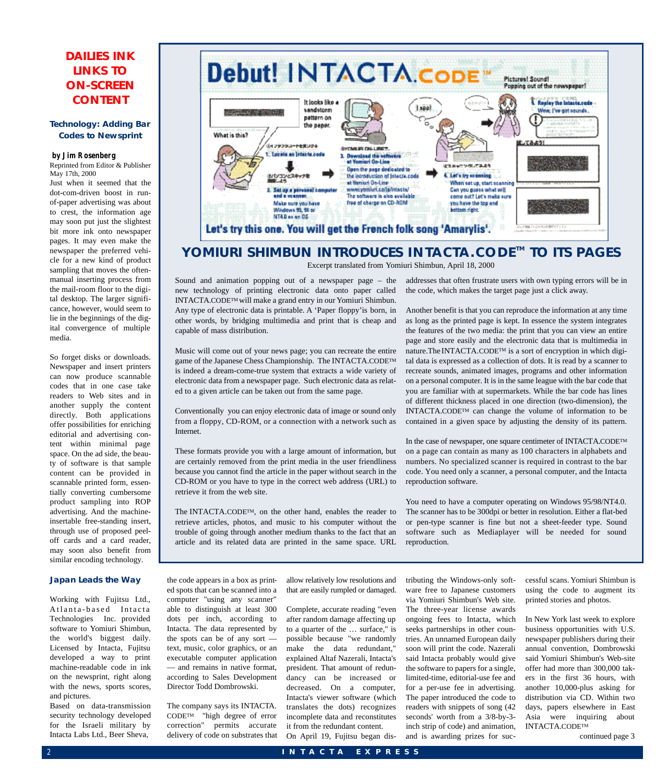#### **DAILIES INK LINKS TO ON-SCREEN CONTENT**

#### **Technology: Adding Bar Codes to Newsprint**

#### **by Jim Rosenberg**

Reprinted from Editor & Publisher May 17th, 2000

Just when it seemed that the dot-com-driven boost in runof-paper advertising was about to crest, the information age may soon put just the slightest bit more ink onto newspaper pages. It may even make the newspaper the preferred vehicle for a new kind of product sampling that moves the oftenmanual inserting process from the mail-room floor to the digital desktop. The larger significance, however, would seem to lie in the beginnings of the digital convergence of multiple media.

So forget disks or downloads. Newspaper and insert printers can now produce scannable codes that in one case take readers to Web sites and in another supply the content directly. Both applications offer possibilities for enriching editorial and advertising content within minimal page space. On the ad side, the beauty of software is that sample content can be provided in scannable printed form, essentially converting cumbersome product sampling into ROP advertising. And the machineinsertable free-standing insert, through use of proposed peeloff cards and a card reader, may soon also benefit from similar encoding technology.

#### **Japan Leads the Way**

Working with Fujitsu Ltd., Atlanta-based Intacta Technologies Inc. provided software to Yomiuri Shimbun, the world's biggest daily. Licensed by Intacta, Fujitsu developed a way to print machine-readable code in ink on the newsprint, right along with the news, sports scores, and pictures.

Based on data-transmission security technology developed for the Israeli military by Intacta Labs Ltd., Beer Sheva,



#### **YOMIURI SHIMBUN INTRODUCES INTACTA.CODE™ TO ITS PAGES** Excerpt translated from Yomiuri Shimbun, April 18, 2000

Sound and animation popping out of a newspaper page – the new technology of printing electronic data onto paper called INTACTA.CODETM will make a grand entry in our Yomiuri Shimbun. Any type of electronic data is printable. A 'Paper floppy'is born, in other words, by bridging multimedia and print that is cheap and capable of mass distribution.

Music will come out of your news page; you can recreate the entire game of the Japanese Chess Championship. The INTACTA.CODETM is indeed a dream-come-true system that extracts a wide variety of electronic data from a newspaper page. Such electronic data as related to a given article can be taken out from the same page.

Conventionally you can enjoy electronic data of image or sound only from a floppy, CD-ROM, or a connection with a network such as Internet.

These formats provide you with a large amount of information, but are certainly removed from the print media in the user friendliness because you cannot find the article in the paper without search in the CD-ROM or you have to type in the correct web address (URL) to retrieve it from the web site.

The INTACTA.CODETM, on the other hand, enables the reader to retrieve articles, photos, and music to his computer without the trouble of going through another medium thanks to the fact that an article and its related data are printed in the same space. URL addresses that often frustrate users with own typing errors will be in the code, which makes the target page just a click away.

Another benefit is that you can reproduce the information at any time as long as the printed page is kept. In essence the system integrates the features of the two media: the print that you can view an entire page and store easily and the electronic data that is multimedia in nature.The INTACTA.CODETM is a sort of encryption in which digital data is expressed as a collection of dots. It is read by a scanner to recreate sounds, animated images, programs and other information on a personal computer. It is in the same league with the bar code that you are familiar with at supermarkets. While the bar code has lines of different thickness placed in one direction (two-dimension), the INTACTA.CODETM can change the volume of information to be contained in a given space by adjusting the density of its pattern.

In the case of newspaper, one square centimeter of INTACTA.CODETM on a page can contain as many as 100 characters in alphabets and numbers. No specialized scanner is required in contrast to the bar code. You need only a scanner, a personal computer, and the Intacta reproduction software.

You need to have a computer operating on Windows 95/98/NT4.0. The scanner has to be 300dpi or better in resolution. Either a flat-bed or pen-type scanner is fine but not a sheet-feeder type. Sound software such as Mediaplayer will be needed for sound reproduction.

the code appears in a box as printed spots that can be scanned into a computer "using any scanner" able to distinguish at least 300 dots per inch, according to Intacta. The data represented by the spots can be of any sort text, music, color graphics, or an executable computer application — and remains in native format, according to Sales Development Director Todd Dombrowski.

The company says its INTACTA. CODETM "high degree of error correction" permits accurate delivery of code on substrates that allow relatively low resolutions and that are easily rumpled or damaged.

Complete, accurate reading "even after random damage affecting up to a quarter of the … surface," is possible because "we randomly make the data redundant," explained Altaf Nazerali, Intacta's president. That amount of redundancy can be increased or decreased. On a computer, Intacta's viewer software (which translates the dots) recognizes incomplete data and reconstitutes it from the redundant content.

On April 19, Fujitsu began dis-

tributing the Windows-only software free to Japanese customers via Yomiuri Shimbun's Web site. The three-year license awards ongoing fees to Intacta, which seeks partnerships in other countries. An unnamed European daily soon will print the code. Nazerali said Intacta probably would give the software to papers for a single, limited-time, editorial-use fee and for a per-use fee in advertising. The paper introduced the code to readers with snippets of song (42 seconds' worth from a 3/8-by-3 inch strip of code) and animation, and is awarding prizes for successful scans. Yomiuri Shimbun is using the code to augment its printed stories and photos.

In New York last week to explore business opportunities with U.S. newspaper publishers during their annual convention, Dombrowski said Yomiuri Shimbun's Web-site offer had more than 300,000 takers in the first 36 hours, with another 10,000-plus asking for distribution via CD. Within two days, papers elsewhere in East Asia were inquiring about INTACTA.CODETM continued page 3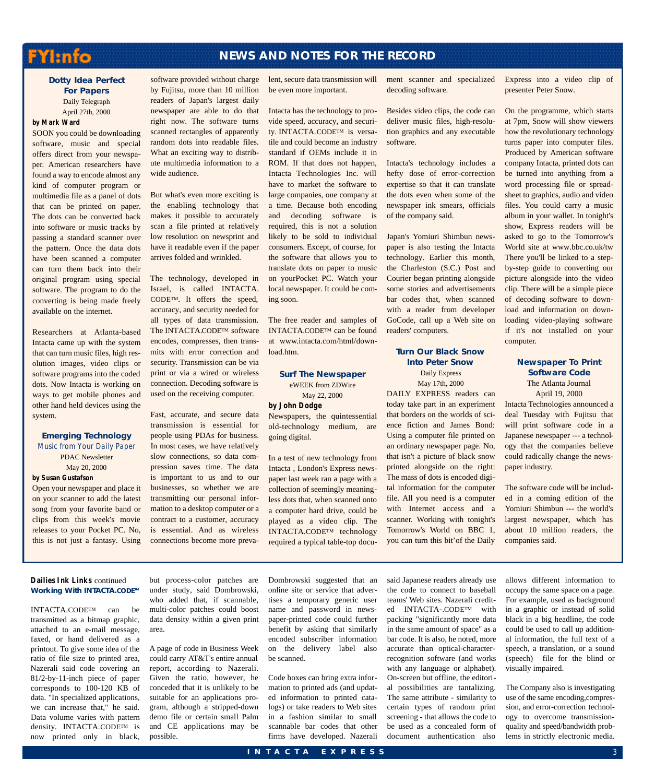### FYI:nfo

#### **NEWS AND NOTES FOR THE RECORD**

#### **Dotty Idea Perfect For Papers** Daily Telegraph April 27th, 2000

#### **by Mark Ward**

SOON you could be downloading software, music and special offers direct from your newspaper. American researchers have found a way to encode almost any kind of computer program or multimedia file as a panel of dots that can be printed on paper. The dots can be converted back into software or music tracks by passing a standard scanner over the pattern. Once the data dots have been scanned a computer can turn them back into their original program using special software. The program to do the converting is being made freely available on the internet.

Researchers at Atlanta-based Intacta came up with the system that can turn music files, high resolution images, video clips or software programs into the coded dots. Now Intacta is working on ways to get mobile phones and other hand held devices using the system.

#### **Emerging Technology** Music from Your Daily Paper PDAC Newsletter May 20, 2000

**by Susan Gustafson**

Open your newspaper and place it on your scanner to add the latest song from your favorite band or clips from this week's movie releases to your Pocket PC. No, this is not just a fantasy. Using

software provided without charge by Fujitsu, more than 10 million readers of Japan's largest daily newspaper are able to do that right now. The software turns scanned rectangles of apparently random dots into readable files. What an exciting way to distribute multimedia information to a wide audience.

But what's even more exciting is the enabling technology that makes it possible to accurately scan a file printed at relatively low resolution on newsprint and have it readable even if the paper arrives folded and wrinkled.

The technology, developed in Israel, is called INTACTA.  $CODE^{TM}$ . It offers the speed, accuracy, and security needed for all types of data transmission. The INTACTA.CODE™ software encodes, compresses, then transmits with error correction and security. Transmission can be via print or via a wired or wireless connection. Decoding software is used on the receiving computer.

Fast, accurate, and secure data transmission is essential for people using PDAs for business. In most cases, we have relatively slow connections, so data compression saves time. The data is important to us and to our businesses, so whether we are transmitting our personal information to a desktop computer or a contract to a customer, accuracy is essential. And as wireless connections become more prevalent, secure data transmission will be even more important.

Intacta has the technology to provide speed, accuracy, and security. INTACTA.CODETM is versatile and could become an industry standard if OEMs include it in ROM. If that does not happen, Intacta Technologies Inc. will have to market the software to large companies, one company at a time. Because both encoding and decoding software is required, this is not a solution likely to be sold to individual consumers. Except, of course, for the software that allows you to translate dots on paper to music on yourPocket PC. Watch your local newspaper. It could be coming soon.

The free reader and samples of INTACTA.CODETM can be found at www.intacta.com/html/download.htm.

#### **Surf The Newspaper** eWEEK from ZDWire May 22, 2000

**by John Dodge**

Newspapers, the quintessential old-technology medium, are going digital.

In a test of new technology from Intacta , London's Express newspaper last week ran a page with a collection of seemingly meaningless dots that, when scanned onto a computer hard drive, could be played as a video clip. The INTACTA.CODETM technology required a typical table-top docudecoding software.

Besides video clips, the code can deliver music files, high-resolution graphics and any executable software.

Intacta's technology includes a hefty dose of error-correction expertise so that it can translate the dots even when some of the newspaper ink smears, officials of the company said.

Japan's Yomiuri Shimbun newspaper is also testing the Intacta technology. Earlier this month, the Charleston (S.C.) Post and Courier began printing alongside some stories and advertisements bar codes that, when scanned with a reader from developer GoCode, call up a Web site on readers' computers.

#### **Turn Our Black Snow Into Peter Snow**

Daily Express

May 17th, 2000 DAILY EXPRESS readers can today take part in an experiment that borders on the worlds of science fiction and James Bond: Using a computer file printed on an ordinary newspaper page. No, that isn't a picture of black snow printed alongside on the right: The mass of dots is encoded digital information for the computer file. All you need is a computer with Internet access and a scanner. Working with tonight's Tomorrow's World on BBC 1, you can turn this bit'of the Daily

ment scanner and specialized Express into a video clip of presenter Peter Snow.

> On the programme, which starts at 7pm, Snow will show viewers how the revolutionary technology turns paper into computer files. Produced by American software company Intacta, printed dots can be turned into anything from a word processing file or spreadsheet to graphics, audio and video files. You could carry a music album in your wallet. In tonight's show, Express readers will be asked to go to the Tomorrow's World site at www.bbc.co.uk/tw There you'll be linked to a stepby-step guide to converting our picture alongside into the video clip. There will be a simple piece of decoding software to download and information on downloading video-playing software if it's not installed on your computer.

#### **Newspaper To Print Software Code** The Atlanta Journal April 19, 2000

Intacta Technologies announced a deal Tuesday with Fujitsu that will print software code in a Japanese newspaper --- a technology that the companies believe could radically change the newspaper industry.

The software code will be included in a coming edition of the Yomiuri Shimbun --- the world's largest newspaper, which has about 10 million readers, the companies said.

#### **Dailies Ink Links** continued **Working With INTACTA.CODE™**

INTACTA.CODE<sup>TM</sup> can be transmitted as a bitmap graphic, attached to an e-mail message, faxed, or hand delivered as a printout. To give some idea of the ratio of file size to printed area, Nazerali said code covering an 81/2-by-11-inch piece of paper corresponds to 100-120 KB of data. "In specialized applications, we can increase that," he said. Data volume varies with pattern density. INTACTA.CODETM is now printed only in black,

but process-color patches are under study, said Dombrowski, who added that, if scannable, multi-color patches could boost data density within a given print area.

A page of code in Business Week could carry AT&T's entire annual report, according to Nazerali. Given the ratio, however, he conceded that it is unlikely to be suitable for an applications program, although a stripped-down demo file or certain small Palm and CE applications may be possible.

Dombrowski suggested that an online site or service that advertises a temporary generic user name and password in newspaper-printed code could further benefit by asking that similarly encoded subscriber information on the delivery label also be scanned.

Code boxes can bring extra information to printed ads (and updated information to printed catalogs) or take readers to Web sites in a fashion similar to small scannable bar codes that other firms have developed. Nazerali said Japanese readers already use the code to connect to baseball teams' Web sites. Nazerali credited INTACTA-.CODETM with packing "significantly more data in the same amount of space" as a bar code. It is also, he noted, more accurate than optical-characterrecognition software (and works with any language or alphabet). On-screen but offline, the editorial possibilities are tantalizing. The same attribute - similarity to certain types of random print screening - that allows the code to be used as a concealed form of document authentication also

allows different information to occupy the same space on a page. For example, used as background in a graphic or instead of solid black in a big headline, the code could be used to call up additional information, the full text of a speech, a translation, or a sound (speech) file for the blind or visually impaired.

The Company also is investigating use of the same encoding,compression, and error-correction technology to overcome transmissionquality and speed/bandwidth problems in strictly electronic media.